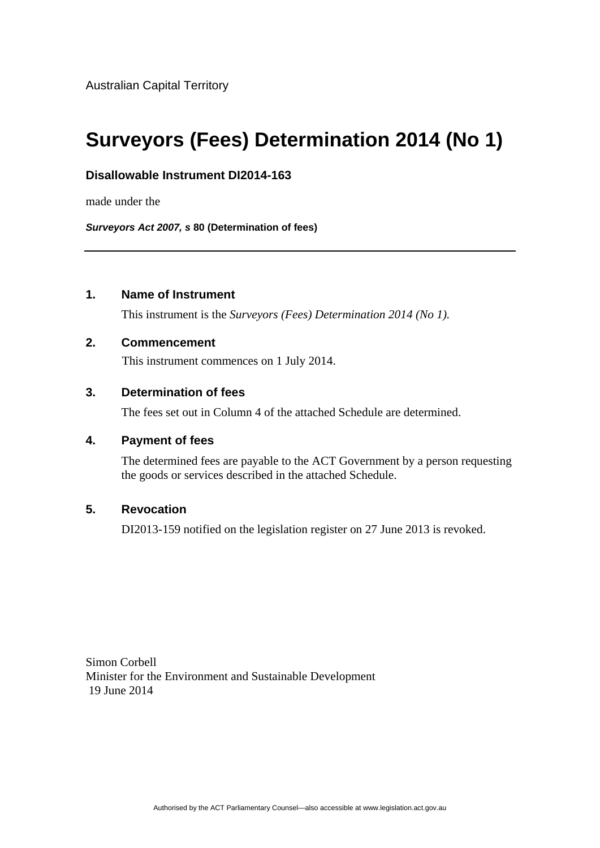# **Surveyors (Fees) Determination 2014 (No 1)**

## **Disallowable Instrument DI2014-163**

made under the

*Surveyors Act 2007, s* **80 (Determination of fees)**

# **1. Name of Instrument**

This instrument is the *Surveyors (Fees) Determination 2014 (No 1).* 

### **2. Commencement**

This instrument commences on 1 July 2014.

# **3. Determination of fees**

The fees set out in Column 4 of the attached Schedule are determined.

#### **4. Payment of fees**

The determined fees are payable to the ACT Government by a person requesting the goods or services described in the attached Schedule.

## **5. Revocation**

DI2013-159 notified on the legislation register on 27 June 2013 is revoked.

Simon Corbell Minister for the Environment and Sustainable Development 19 June 2014